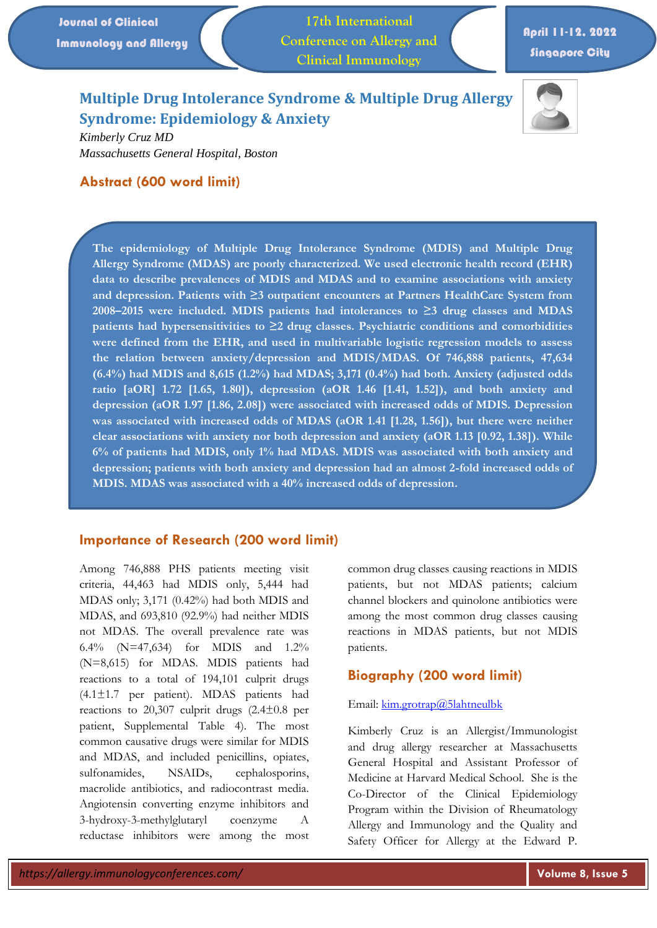**17th International Conference on Allergy and Clinical Immunology**

# April 11-12, 2022 Singapore City

# **Multiple Drug Intolerance Syndrome & Multiple Drug Allergy Syndrome: Epidemiology & Anxiety**



*Kimberly Cruz MD Massachusetts General Hospital, Boston* 

## **Abstract (600 word limit)**

**The epidemiology of Multiple Drug Intolerance Syndrome (MDIS) and Multiple Drug Allergy Syndrome (MDAS) are poorly characterized. We used electronic health record (EHR) data to describe prevalences of MDIS and MDAS and to examine associations with anxiety and depression. Patients with ≥3 outpatient encounters at Partners HealthCare System from 2008–2015 were included. MDIS patients had intolerances to ≥3 drug classes and MDAS patients had hypersensitivities to ≥2 drug classes. Psychiatric conditions and comorbidities were defined from the EHR, and used in multivariable logistic regression models to assess the relation between anxiety/depression and MDIS/MDAS. Of 746,888 patients, 47,634 (6.4%) had MDIS and 8,615 (1.2%) had MDAS; 3,171 (0.4%) had both. Anxiety (adjusted odds ratio [aOR] 1.72 [1.65, 1.80]), depression (aOR 1.46 [1.41, 1.52]), and both anxiety and depression (aOR 1.97 [1.86, 2.08]) were associated with increased odds of MDIS. Depression was associated with increased odds of MDAS (aOR 1.41 [1.28, 1.56]), but there were neither clear associations with anxiety nor both depression and anxiety (aOR 1.13 [0.92, 1.38]). While 6% of patients had MDIS, only 1% had MDAS. MDIS was associated with both anxiety and depression; patients with both anxiety and depression had an almost 2-fold increased odds of MDIS. MDAS was associated with a 40% increased odds of depression.**

#### **Importance of Research (200 word limit)**

Among 746,888 PHS patients meeting visit criteria, 44,463 had MDIS only, 5,444 had MDAS only; 3,171 (0.42%) had both MDIS and MDAS, and 693,810 (92.9%) had neither MDIS not MDAS. The overall prevalence rate was 6.4% (N=47,634) for MDIS and 1.2% (N=8,615) for MDAS. MDIS patients had reactions to a total of 194,101 culprit drugs (4.1±1.7 per patient). MDAS patients had reactions to 20,307 culprit drugs  $(2.4\pm 0.8)$  per patient, Supplemental Table 4). The most common causative drugs were similar for MDIS and MDAS, and included penicillins, opiates, sulfonamides, NSAIDs, cephalosporins, macrolide antibiotics, and radiocontrast media. Angiotensin converting enzyme inhibitors and 3-hydroxy-3-methylglutaryl coenzyme A reductase inhibitors were among the most

common drug classes causing reactions in MDIS patients, but not MDAS patients; calcium channel blockers and quinolone antibiotics were among the most common drug classes causing reactions in MDAS patients, but not MDIS patients.

#### **Biography (200 word limit)**

#### Email[: kim.grotrap@5lahtneulbk](mailto:kim.grotrap@5lahtneulbk)

Kimberly Cruz is an Allergist/Immunologist and drug allergy researcher at Massachusetts General Hospital and Assistant Professor of Medicine at Harvard Medical School. She is the Co-Director of the Clinical Epidemiology Program within the Division of Rheumatology Allergy and Immunology and the Quality and Safety Officer for Allergy at the Edward P.